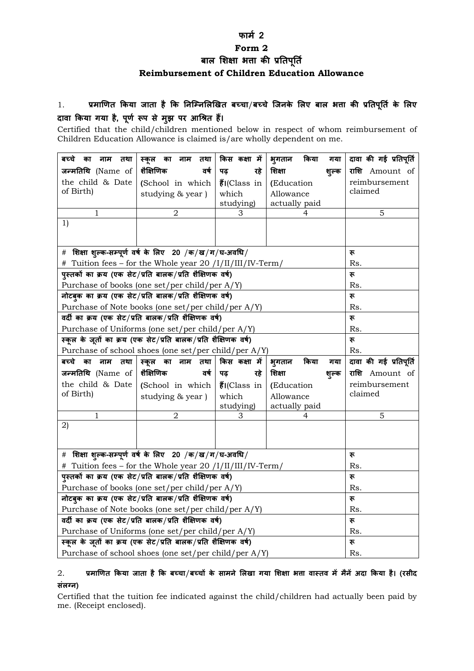#### **फाम 2**

## **Form 2**

बाल शिक्षा भता की प्रतिपूर्ति

# **Reimbursement of Children Education Allowance**

# 1. प्रमाणित किया जाता है कि निम्निलिखित बच्चा*/* बच्चे जिनके लिए बाल भत्ता की प्रतिपूर्ति के लिए दावा किया गया है, पूर्ण रूप से मुझ पर आश्रित हैं।

Certified that the child/children mentioned below in respect of whom reimbursement of Children Education Allowance is claimed is/are wholly dependent on me.

| बच्चे<br>तथा<br>का<br>नाम                                      | स्कूल<br>का<br>नाम<br>तथा | किस कक्षा में                          | भूगतान<br>किया<br>गया | दावा की गई प्रतिपूर्ति |
|----------------------------------------------------------------|---------------------------|----------------------------------------|-----------------------|------------------------|
| जन्मतिथि (Name of                                              | शैक्षिणिक<br>वर्ष         | रहे<br>पढ                              | शिक्षा<br>शुल्क       | राशि Amount of         |
| the child & Date                                               | (School in which          | $\ddot{\mathbf{\tilde{g}}}$ I(Class in | (Education            | reimbursement          |
| of Birth)                                                      | studying & year)          | which                                  | Allowance             | claimed                |
|                                                                |                           | studying)                              | actually paid         |                        |
|                                                                | 2                         | З                                      | 4                     | 5                      |
| 1)                                                             |                           |                                        |                       |                        |
|                                                                |                           |                                        |                       |                        |
| # शिक्षा शुल्क-सम्पूर्ण वर्ष के लिए 20 /क/ख/ग/घ-अवधि/          |                           |                                        |                       | रू                     |
| Tuition fees – for the Whole year 20 /I/II/III/IV-Term/<br>#   |                           |                                        |                       | Rs.                    |
| प्स्तकों का क्रय (एक सेट/प्रति बालक/प्रति शैक्षिणक वर्ष)       |                           |                                        |                       | रू                     |
| Purchase of books (one set/per child/per A/Y)                  |                           |                                        |                       | Rs.                    |
| नोटबुक का क्रय (एक सेट/प्रति बालक/प्रति शैक्षिणक वर्ष)         |                           |                                        |                       | रू                     |
| Purchase of Note books (one set/per child/per A/Y)             |                           |                                        |                       | Rs.                    |
| वर्दी का क्रय (एक सेट/प्रति बालक/प्रति शैक्षिणक वर्ष)          |                           |                                        |                       | रू                     |
| Purchase of Uniforms (one set/per child/per A/Y)               |                           |                                        |                       | Rs.                    |
| स्कूल के जूतों का क्रय (एक सेट/प्रति बालक/प्रति शैक्षिणक वर्ष) |                           |                                        |                       | रू                     |
| Purchase of school shoes (one set/per child/per A/Y)           |                           |                                        |                       | Rs.                    |
| बच्चे<br>नाम<br>का<br>तथा                                      | स्कूल का नाम तथा          | किस कक्षा में                          | किया<br>भुगतान<br>गया | दावा की गई प्रतिपूर्ति |
| जन्मतिथि (Name of                                              | शैक्षिणिक<br>वर्ष         | रहे<br>पढ़                             | शिक्षा<br>शुल्क       | राशि Amount of         |
| the child & Date                                               | (School in which          | $\ddot{\xi}$ I(Class in                | (Education            | reimbursement          |
| of Birth)                                                      | studying & year)          | which                                  | Allowance             | claimed                |
|                                                                |                           | studying)                              | actually paid         |                        |
| 1                                                              | $\overline{2}$            | З                                      | 4                     | 5                      |
| 2)                                                             |                           |                                        |                       |                        |
|                                                                |                           |                                        |                       |                        |
| # शिक्षा शुल्क-सम्पूर्ण वर्ष के लिए 20 /क/ख/ग/घ-अवधि/          |                           |                                        |                       | रू                     |
| # Tuition fees – for the Whole year 20 /I/II/III/IV-Term/      |                           |                                        |                       | Rs.                    |
| प्स्तकों का क्रय (एक सेट/प्रति बालक/प्रति शैक्षिणक वर्ष)       |                           |                                        |                       | रू                     |
| Purchase of books (one set/per child/per A/Y)                  |                           |                                        |                       | Rs.                    |
| नोटबुक का क्रय (एक सेट/प्रति बालक/प्रति शैक्षिणक वर्ष)         |                           |                                        |                       | रू                     |
| Purchase of Note books (one set/per child/per A/Y)             |                           |                                        |                       | Rs.                    |
| वर्दी का क्रय (एक सेट/प्रति बालक/प्रति शैक्षिणक वर्ष)          |                           |                                        |                       | रू                     |
| Purchase of Uniforms (one set/per child/per A/Y)               |                           |                                        |                       | Rs.                    |
| स्कूल के जूतों का क्रय (एक सेट/प्रति बालक/प्रति शैक्षिणक वर्ष) |                           |                                        |                       | रू                     |
| Purchase of school shoes (one set/per child/per A/Y)           |                           |                                        |                       | Rs.                    |

## 2. प्रमाणित किया जाता है कि बच्चा/बच्चों के सामने लिखा गया शिक्षा भता वास्तव में मैनें अदा किया है। (रसीद **संलग्न)**

Certified that the tuition fee indicated against the child/children had actually been paid by me. (Receipt enclosed).